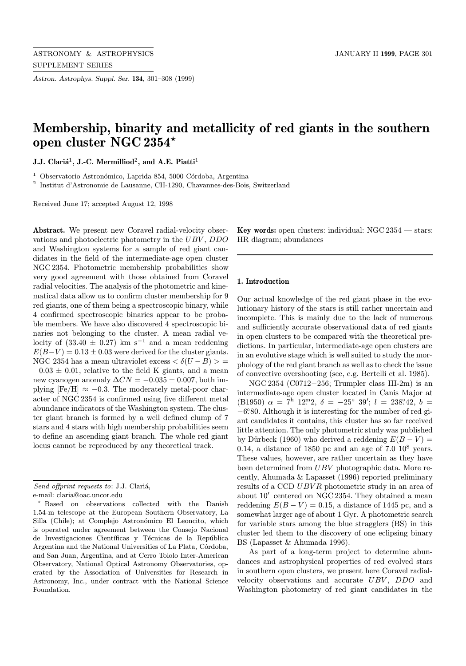Astron. Astrophys. Suppl. Ser. 134, 301–308 (1999)

# Membership, binarity and metallicity of red giants in the southern open cluster NGC 2354?

J.J. Claria<sup>1</sup>, J.-C. Mermilliod<sup>2</sup>, and A.E. Piatti<sup>1</sup>

 $^{\rm 1}$  Observatorio Astronómico, Laprida 854, 5000 Córdoba, Argentina

<sup>2</sup> Institut d'Astronomie de Lausanne, CH-1290, Chavannes-des-Bois, Switzerland

Received June 17; accepted August 12, 1998

Abstract. We present new Coravel radial-velocity observations and photoelectric photometry in the UBV , DDO and Washington systems for a sample of red giant candidates in the field of the intermediate-age open cluster NGC 2354. Photometric membership probabilities show very good agreement with those obtained from Coravel radial velocities. The analysis of the photometric and kinematical data allow us to confirm cluster membership for 9 red giants, one of them being a spectroscopic binary, while 4 confirmed spectroscopic binaries appear to be probable members. We have also discovered 4 spectroscopic binaries not belonging to the cluster. A mean radial velocity of  $(33.40 \pm 0.27)$  km s<sup>-1</sup> and a mean reddening  $E(B-V) = 0.13 \pm 0.03$  were derived for the cluster giants. NGC 2354 has a mean ultraviolet excess  $\langle \delta (U-B) \rangle =$  $-0.03 \pm 0.01$ , relative to the field K giants, and a mean new cyanogen anomaly  $\Delta CN = -0.035 \pm 0.007$ , both implying  $[Fe/H] \approx -0.3$ . The moderately metal-poor character of NGC 2354 is confirmed using five different metal abundance indicators of the Washington system. The cluster giant branch is formed by a well defined clump of 7 stars and 4 stars with high membership probabilities seem to define an ascending giant branch. The whole red giant locus cannot be reproduced by any theoretical track.

**Key words:** open clusters: individual:  $NGC 2354$  — stars: HR diagram; abundances

### 1. Introduction

Our actual knowledge of the red giant phase in the evolutionary history of the stars is still rather uncertain and incomplete. This is mainly due to the lack of numerous and sufficiently accurate observational data of red giants in open clusters to be compared with the theoretical predictions. In particular, intermediate-age open clusters are in an evolutive stage which is well suited to study the morphology of the red giant branch as well as to check the issue of convective overshooting (see, e.g. Bertelli et al. 1985).

NGC 2354 (C0712−256; Trumpler class III-2m) is an intermediate-age open cluster located in Canis Major at (B1950)  $\alpha = 7^{\rm h}$  12<sup>m</sup>2,  $\delta = -25^{\circ}$  39';  $l = 238^{\circ}42$ ,  $b =$ −6. ◦80. Although it is interesting for the number of red giant candidates it contains, this cluster has so far received little attention. The only photometric study was published by Dürbeck (1960) who derived a reddening  $E(B-V)$  = 0.14, a distance of 1850 pc and an age of  $7.0 \, 10^8$  years. These values, however, are rather uncertain as they have been determined from UBV photographic data. More recently, Ahumada & Lapasset (1996) reported preliminary results of a CCD UBVR photometric study in an area of about  $10'$  centered on NGC 2354. They obtained a mean reddening  $E(B - V) = 0.15$ , a distance of 1445 pc, and a somewhat larger age of about 1 Gyr. A photometric search for variable stars among the blue stragglers (BS) in this cluster led them to the discovery of one eclipsing binary BS (Lapasset & Ahumada 1996).

As part of a long-term project to determine abundances and astrophysical properties of red evolved stars in southern open clusters, we present here Coravel radialvelocity observations and accurate UBV, DDO and Washington photometry of red giant candidates in the

Send offprint requests to: J.J. Clariá,

e-mail: claria@oac.uncor.edu

<sup>?</sup> Based on observations collected with the Danish 1.54-m telescope at the European Southern Observatory, La Silla (Chile); at Complejo Astronómico El Leoncito, which is operated under agreement between the Consejo Nacional de Investigaciones Científicas y Técnicas de la República Argentina and the National Universities of La Plata, Córdoba, and San Juan, Argentina, and at Cerro Tololo Inter-American Observatory, National Optical Astronomy Observatories, operated by the Association of Universities for Research in Astronomy, Inc., under contract with the National Science Foundation.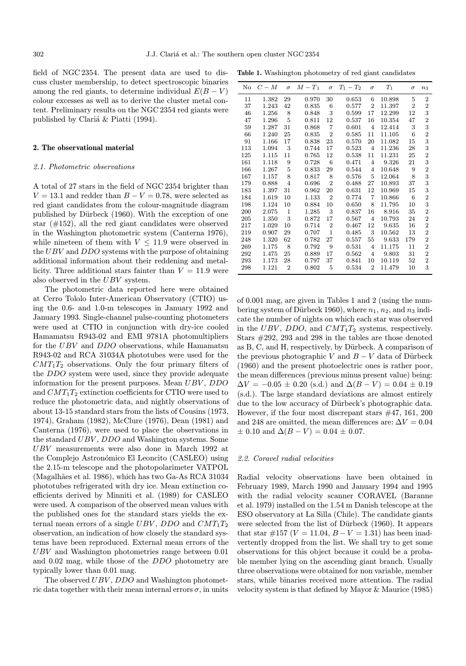field of NGC 2354. The present data are used to discuss cluster membership, to detect spectroscopic binaries among the red giants, to determine individual  $E(B - V)$ colour excesses as well as to derive the cluster metal content. Preliminary results on the NGC 2354 red giants were published by Clariá & Piatti (1994).

## 2. The observational material

## 2.1. Photometric observations

A total of 27 stars in the field of NGC 2354 brighter than  $V = 13.1$  and redder than  $B - V = 0.78$ , were selected as red giant candidates from the colour-magnitude diagram published by Dürbeck (1960). With the exception of one star (#152), all the red giant candidates were observed in the Washington photometric system (Canterna 1976), while nineteen of them with  $V \leq 11.9$  were observed in the UBV and DDO systems with the purpose of obtaining additional information about their reddening and metallicity. Three additional stars fainter than  $V = 11.9$  were also observed in the UBV system.

The photometric data reported here were obtained at Cerro Tololo Inter-American Observatory (CTIO) using the 0.6- and 1.0-m telescopes in January 1992 and January 1993. Single-channel pulse-counting photometers were used at CTIO in conjunction with dry-ice cooled Hamamatsu R943-02 and EMI 9781A photomultipliers for the UBV and DDO observations, while Hamamatsu R943-02 and RCA 31034A phototubes were used for the  $CMT_1T_2$  observations. Only the four primary filters of the DDO system were used, since they provide adequate information for the present purposes. Mean UBV, DDO and  $CMT_1T_2$  extinction coefficients for CTIO were used to reduce the photometric data, and nightly observations of about 13-15 standard stars from the lists of Cousins (1973, 1974), Graham (1982), McClure (1976), Dean (1981) and Canterna (1976), were used to place the observations in the standard UBV , DDO and Washington systems. Some UBV measurements were also done in March 1992 at the Complejo Astronómico El Leoncito (CASLEO) using the 2.15-m telescope and the photopolarimeter VATPOL (Magalhães et al. 1986), which has two Ga-As RCA 31034 phototubes refrigerated with dry ice. Mean extinction coefficients derived by Minniti et al. (1989) for CASLEO were used. A comparison of the observed mean values with the published ones for the standard stars yields the external mean errors of a single UBV, DDO and  $CMT_1T_2$ observation, an indication of how closely the standard systems have been reproduced. External mean errors of the UBV and Washington photometries range between 0.01 and 0.02 mag, while those of the DDO photometry are typically lower than 0.01 mag.

The observed  $UBV$ ,  $DDO$  and Washington photometric data together with their mean internal errors  $\sigma$ , in units

|  | Table 1. Washington photometry of red giant candidates |  |  |  |  |
|--|--------------------------------------------------------|--|--|--|--|
|--|--------------------------------------------------------|--|--|--|--|

| No  | $C-M$ | $\sigma$       | $M-T_1$ | $\sigma$        | $T_1 - T_2$ | $\sigma$       | $T_1$  | $\sigma$       | $n_3$            |
|-----|-------|----------------|---------|-----------------|-------------|----------------|--------|----------------|------------------|
| 11  | 1.382 | 29             | 0.970   | 30              | 0.653       | 6              | 10.898 | 5              | $\,2$            |
| 37  | 1.243 | 42             | 0.835   | 6               | 0.577       | $\overline{2}$ | 11.397 | $\overline{2}$ | $\boldsymbol{2}$ |
| 46  | 1.256 | 8              | 0.848   | 3               | 0.599       | 17             | 12.299 | 12             | 3                |
| 47  | 1.296 | 5              | 0.811   | 12              | 0.537       | 16             | 10.354 | 47             | $\overline{2}$   |
| 59  | 1.287 | 31             | 0.868   | $\overline{7}$  | 0.601       | $\overline{4}$ | 12.414 | 3              | 3                |
| 66  | 1.240 | 25             | 0.835   | $\overline{2}$  | 0.585       | 11             | 11.105 | 6              | $\overline{2}$   |
| 91  | 1.166 | 17             | 0.838   | 23              | 0.570       | 20             | 11.082 | 15             | 3                |
| 113 | 1.094 | 3              | 0.744   | 17              | 0.523       | $\overline{4}$ | 11.236 | 28             | 3                |
| 125 | 1.115 | 11             | 0.765   | 12              | 0.538       | 11             | 11.231 | 25             | $\overline{2}$   |
| 161 | 1.118 | 9              | 0.728   | $6\phantom{1}6$ | 0.471       | $\overline{4}$ | 9.326  | 21             | 3                |
| 166 | 1.267 | 5              | 0.833   | 29              | 0.544       | 4              | 10.648 | 9              | $\overline{2}$   |
| 167 | 1.157 | 8              | 0.817   | 8               | 0.576       | 5              | 12.064 | 8              | 3                |
| 179 | 0.888 | $\overline{4}$ | 0.696   | $\overline{2}$  | 0.488       | 27             | 10.893 | 37             | 3                |
| 183 | 1.397 | 31             | 0.962   | 20              | 0.631       | 12             | 10.969 | 15             | 3                |
| 184 | 1.619 | 10             | 1.133   | $\overline{2}$  | 0.774       | 7              | 10.866 | 6              | $\overline{2}$   |
| 198 | 1.124 | 10             | 0.884   | 10              | 0.650       | 8              | 11.795 | 10             | 3                |
| 200 | 2.075 | $\mathbf{1}$   | 1.285   | 3               | 0.837       | 16             | 8.916  | 35             | $\overline{2}$   |
| 205 | 1.350 | 3              | 0.872   | 17              | 0.567       | $\overline{4}$ | 10.793 | 24             | $\boldsymbol{2}$ |
| 217 | 1.029 | 10             | 0.714   | $\,2$           | 0.467       | 12             | 9.635  | 16             | $\overline{2}$   |
| 219 | 0.907 | 29             | 0.707   | $\mathbf{1}$    | 0.485       | 3              | 10.562 | 13             | $\,2$            |
| 248 | 1.320 | 62             | 0.782   | 27              | 0.557       | 55             | 9.633  | 179            | $\overline{2}$   |
| 269 | 1.175 | 8              | 0.792   | 9               | 0.531       | $\overline{4}$ | 11.175 | 11             | $\overline{2}$   |
| 292 | 1.475 | 25             | 0.889   | 17              | 0.562       | 4              | 9.803  | 31             | $\overline{2}$   |
| 293 | 1.173 | 28             | 0.797   | 37              | 0.841       | 10             | 10.119 | 52             | $\overline{2}$   |
| 298 | 1.121 | $\overline{2}$ | 0.802   | 5               | 0.534       | $\overline{2}$ | 11.479 | 10             | $\,3$            |

of 0.001 mag, are given in Tables 1 and 2 (using the numbering system of Dürbeck 1960), where  $n_1, n_2$ , and  $n_3$  indicate the number of nights on which each star was observed in the UBV, DDO, and  $CMT_1T_2$  systems, respectively. Stars #292, 293 and 298 in the tables are those denoted as B, C, and H, respectively, by Dürbeck. A comparison of the previous photographic V and  $B - V$  data of Dürbeck (1960) and the present photoelectric ones is rather poor, the mean differences (previous minus present value) being:  $\Delta V = -0.05 \pm 0.20$  (s.d.) and  $\Delta (B - V) = 0.04 \pm 0.19$ (s.d.). The large standard deviations are almost entirely due to the low accuracy of Dürbeck's photographic data. However, if the four most discrepant stars #47, 161, 200 and 248 are omitted, the mean differences are:  $\Delta V = 0.04$  $\pm$  0.10 and  $\Delta(B - V) = 0.04 \pm 0.07$ .

## 2.2. Coravel radial velocities

Radial velocity observations have been obtained in February 1989, March 1990 and January 1994 and 1995 with the radial velocity scanner CORAVEL (Baranne et al. 1979) installed on the 1.54 m Danish telescope at the ESO observatory at La Silla (Chile). The candidate giants were selected from the list of Dürbeck (1960). It appears that star #157 ( $V = 11.04$ ,  $B - V = 1.31$ ) has been inadvertently dropped from the list. We shall try to get some observations for this object because it could be a probable member lying on the ascending giant branch. Usually three observations were obtained for non variable, member stars, while binaries received more attention. The radial velocity system is that defined by Mayor & Maurice (1985)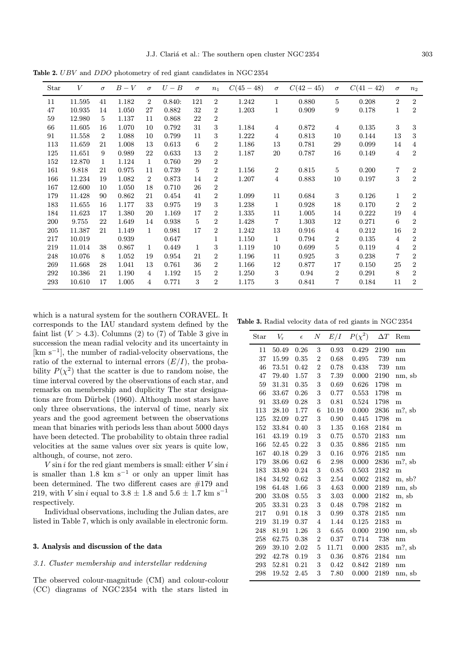Table 2. UBV and DDO photometry of red giant candidates in NGC 2354

| Star | V      | $\sigma$       | $B-V$ | $\sigma$       | $U-B$  | $\sigma$ | $n_1$          | $C(45-48)$ | $\sigma$       | $C(42-45)$ | $\sigma$       | $C(41-42)$ | $\sigma$       | $n_2$            |
|------|--------|----------------|-------|----------------|--------|----------|----------------|------------|----------------|------------|----------------|------------|----------------|------------------|
| 11   | 11.595 | 41             | 1.182 | $\overline{2}$ | 0.840: | 121      | $\overline{2}$ | 1.242      | 1              | 0.880      | $\overline{5}$ | 0.208      | $\overline{2}$ | $\overline{2}$   |
| 47   | 10.935 | 14             | 1.050 | 27             | 0.882  | 32       | 2              | 1.203      | 1              | 0.909      | 9              | 0.178      | 1              | $\overline{2}$   |
| 59   | 12.980 | 5              | 1.137 | 11             | 0.868  | 22       | $\overline{2}$ |            |                |            |                |            |                |                  |
| 66   | 11.605 | 16             | 1.070 | 10             | 0.792  | 31       | 3              | 1.184      | 4              | 0.872      | $\overline{4}$ | 0.135      | 3              | 3                |
| 91   | 11.558 | $\overline{2}$ | 1.088 | 10             | 0.799  | 11       | 3              | 1.222      | 4              | 0.813      | 10             | 0.144      | 13             | 3                |
| 113  | 11.659 | 21             | 1.008 | 13             | 0.613  | 6        | 2              | 1.186      | 13             | 0.781      | 29             | 0.099      | 14             | 4                |
| 125  | 11.651 | 9              | 0.989 | 22             | 0.633  | 13       | 2              | 1.187      | 20             | 0.787      | 16             | 0.149      | 4              | $\overline{2}$   |
| 152  | 12.870 | 1              | 1.124 | 1              | 0.760  | 29       | 2              |            |                |            |                |            |                |                  |
| 161  | 9.818  | 21             | 0.975 | 11             | 0.739  | 5        | $\overline{2}$ | 1.156      | $\overline{2}$ | 0.815      | $\bf 5$        | 0.200      | 7              | $\overline{2}$   |
| 166  | 11.234 | 19             | 1.082 | $\overline{2}$ | 0.873  | 14       | $\overline{2}$ | 1.207      | 4              | 0.883      | 10             | 0.197      | 3              | $\overline{2}$   |
| 167  | 12.600 | 10             | 1.050 | 18             | 0.710  | 26       | 2              |            |                |            |                |            |                |                  |
| 179  | 11.428 | 90             | 0.862 | 21             | 0.454  | 41       | 2              | 1.099      | 11             | 0.684      | $\sqrt{3}$     | 0.126      | 1              | $\boldsymbol{2}$ |
| 183  | 11.655 | 16             | 1.177 | 33             | 0.975  | 19       | 3              | 1.238      | 1              | 0.928      | 18             | 0.170      | $\overline{2}$ | $\overline{2}$   |
| 184  | 11.623 | 17             | 1.380 | 20             | 1.169  | 17       | 2              | 1.335      | 11             | 1.005      | 14             | 0.222      | 19             | 4                |
| 200  | 9.755  | 22             | 1.649 | 14             | 0.938  | 5        | $\overline{2}$ | 1.428      | 7              | 1.303      | 12             | 0.271      | 6              | $\overline{2}$   |
| 205  | 11.387 | 21             | 1.149 | 1              | 0.981  | 17       | 2              | 1.242      | 13             | 0.916      | $\overline{4}$ | 0.212      | 16             | $\boldsymbol{2}$ |
| 217  | 10.019 |                | 0.939 |                | 0.647  |          | 1              | 1.150      | 1              | 0.794      | 2              | 0.135      | 4              | $\overline{2}$   |
| 219  | 11.014 | 38             | 0.867 | 1              | 0.449  | 1        | 3              | 1.119      | 10             | 0.699      | 5              | 0.119      | 4              | $\overline{2}$   |
| 248  | 10.076 | 8              | 1.052 | 19             | 0.954  | 21       | 2              | 1.196      | 11             | 0.925      | 3              | 0.238      | 7              | $\overline{2}$   |
| 269  | 11.668 | 28             | 1.041 | 13             | 0.761  | 36       | 2              | 1.166      | 12             | 0.877      | 17             | 0.150      | 25             | $\overline{2}$   |
| 292  | 10.386 | 21             | 1.190 | 4              | 1.192  | 15       | 2              | 1.250      | 3              | 0.94       | $\overline{2}$ | 0.291      | 8              | $\overline{2}$   |
| 293  | 10.610 | 17             | 1.005 | 4              | 0.771  | 3        | $\overline{2}$ | 1.175      | 3              | 0.841      | 7              | 0.184      | 11             | $\overline{2}$   |

which is a natural system for the southern CORAVEL. It corresponds to the IAU standard system defined by the faint list  $(V > 4.3)$ . Columns (2) to (7) of Table 3 give in succession the mean radial velocity and its uncertainty in [km s<sup> $-1$ ]</sup>, the number of radial-velocity observations, the ratio of the external to internal errors  $(E/I)$ , the probability  $P(\chi^2)$  that the scatter is due to random noise, the time interval covered by the observations of each star, and remarks on membership and duplicity The star designations are from Dürbek (1960). Although most stars have only three observations, the interval of time, nearly six years and the good agreement between the observations mean that binaries with periods less than about 5000 days have been detected. The probability to obtain three radial velocities at the same values over six years is quite low, although, of course, not zero.

 $V \sin i$  for the red giant members is small: either  $V \sin i$ is smaller than 1.8 km s<sup>-1</sup> or only an upper limit has been determined. The two different cases are #179 and 219, with *V* sin *i* equal to 3.8  $\pm$  1.8 and 5.6  $\pm$  1.7 km s<sup>-1</sup> respectively.

Individual observations, including the Julian dates, are listed in Table 7, which is only available in electronic form.

## 3. Analysis and discussion of the data

## 3.1. Cluster membership and interstellar reddening

The observed colour-magnitude (CM) and colour-colour (CC) diagrams of NGC 2354 with the stars listed in

Table 3. Radial velocity data of red giants in NGC 2354

| Star | $V_{\rm r}$ | $\epsilon$ | $\boldsymbol{N}$ | E/I   | $P(\chi^2)$ | $\Delta T$ | Rem    |
|------|-------------|------------|------------------|-------|-------------|------------|--------|
| 11   | 50.49       | 0.26       | 3                | 0.93  | 0.429       | 2190       | nm     |
| 37   | 15.99       | 0.35       | $\overline{2}$   | 0.68  | 0.495       | 739        | nm     |
| 46   | 73.51       | 0.42       | $\overline{2}$   | 0.78  | 0.438       | 739        | nm     |
| 47   | 79.40       | 1.57       | 3                | 7.39  | 0.000       | 2190       | nm, sb |
| 59   | 31.31       | 0.35       | 3                | 0.69  | 0.626       | 1798       | m      |
| 66   | 33.67       | 0.26       | 3                | 0.77  | 0.553       | 1798       | m      |
| 91   | 33.69       | 0.28       | 3                | 0.81  | 0.524       | 1798       | m      |
| 113  | 28.10       | 1.77       | 6                | 10.19 | 0.000       | 2836       | m?, sb |
| 125  | 32.09       | 0.27       | 3                | 0.90  | 0.445       | 1798       | m      |
| 152  | 33.84       | 0.40       | 3                | 1.35  | 0.168       | 2184       | m      |
| 161  | 43.19       | 0.19       | 3                | 0.75  | 0.570       | 2183       | nm     |
| 166  | 52.45       | 0.22       | 3                | 0.35  | 0.886       | 2185       | nm     |
| 167  | 40.18       | 0.29       | 3                | 0.16  | 0.976       | 2185       | nm     |
| 179  | 38.06       | 0.62       | 6                | 2.98  | 0.000       | 2836       | m?, sb |
| 183  | 33.80       | 0.24       | 3                | 0.85  | 0.503       | 2182       | m      |
| 184  | 34.92       | 0.62       | 3                | 2.54  | 0.002       | 2182       | m, sb? |
| 198  | 64.48       | 1.66       | 3                | 4.63  | 0.000       | 2189       | nm, sb |
| 200  | 33.08       | 0.55       | 3                | 3.03  | 0.000       | 2182       | m, sb  |
| 205  | 33.31       | 0.23       | 3                | 0.48  | 0.798       | 2182       | m      |
| 217  | 0.91        | 0.18       | 3                | 0.99  | 0.378       | 2185       | nm     |
| 219  | 31.19       | 0.37       | 4                | 1.44  | 0.125       | 2183       | m      |
| 248  | 81.91       | 1.26       | 3                | 6.65  | 0.000       | 2190       | nm, sb |
| 258  | 62.75       | 0.38       | $\overline{2}$   | 0.37  | 0.714       | 738        | nm     |
| 269  | 39.10       | 2.02       | $\mathbf 5$      | 11.71 | 0.000       | 2835       | m?, sb |
| 292  | 42.78       | 0.19       | 3                | 0.36  | 0.876       | 2184       | nm     |
| 293  | 52.81       | 0.21       | 3                | 0.42  | 0.842       | 2189       | nm     |
| 298  | 19.52       | 2.45       | 3                | 7.80  | 0.000       | 2189       | nm, sb |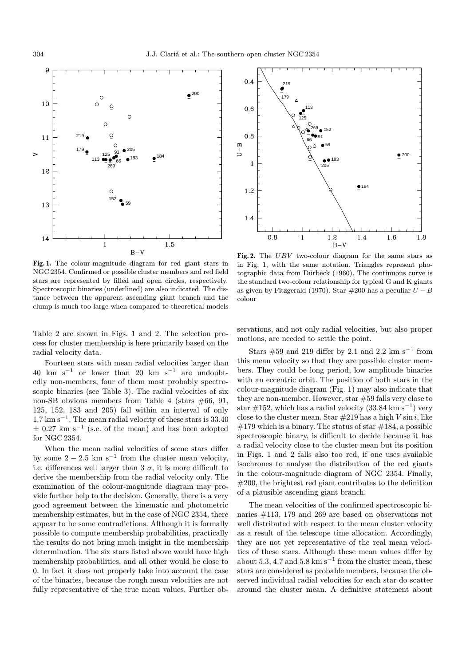

Fig. 1. The colour-magnitude diagram for red giant stars in NGC 2354. Confirmed or possible cluster members and red field stars are represented by filled and open circles, respectively. Spectroscopic binaries (underlined) are also indicated. The distance between the apparent ascending giant branch and the clump is much too large when compared to theoretical models

Table 2 are shown in Figs. 1 and 2. The selection process for cluster membership is here primarily based on the radial velocity data.

Fourteen stars with mean radial velocities larger than 40 km s<sup> $-1$ </sup> or lower than 20 km s<sup> $-1$ </sup> are undoubtedly non-members, four of them most probably spectroscopic binaries (see Table 3). The radial velocities of six non-SB obvious members from Table 4 (stars  $\#66$ , 91, 125, 152, 183 and 205) fall within an interval of only  $1.7 \text{ km s}^{-1}$ . The mean radial velocity of these stars is 33.40  $\pm$  0.27 km s<sup>-1</sup> (s.e. of the mean) and has been adopted for NGC 2354.

When the mean radial velocities of some stars differ by some  $2 - 2.5$  km s<sup>-1</sup> from the cluster mean velocity, i.e. differences well larger than  $3\sigma$ , it is more difficult to derive the membership from the radial velocity only. The examination of the colour-magnitude diagram may provide further help to the decision. Generally, there is a very good agreement between the kinematic and photometric membership estimates, but in the case of NGC 2354, there appear to be some contradictions. Although it is formally possible to compute membership probabilities, practically the results do not bring much insight in the membership determination. The six stars listed above would have high membership probabilities, and all other would be close to 0. In fact it does not properly take into account the case of the binaries, because the rough mean velocities are not fully representative of the true mean values. Further ob-



Fig. 2. The UBV two-colour diagram for the same stars as in Fig. 1, with the same notation. Triangles represent photographic data from Dürbeck  $(1960)$ . The continuous curve is the standard two-colour relationship for typical G and K giants as given by Fitzgerald (1970). Star  $#200$  has a peculiar  $U - B$ colour

servations, and not only radial velocities, but also proper motions, are needed to settle the point.

Stars #59 and 219 differ by 2.1 and 2.2 km s<sup>-1</sup> from this mean velocity so that they are possible cluster members. They could be long period, low amplitude binaries with an eccentric orbit. The position of both stars in the colour-magnitude diagram (Fig. 1) may also indicate that they are non-member. However, star #59 falls very close to star #152, which has a radial velocity  $(33.84 \text{ km s}^{-1})$  very close to the cluster mean. Star  $\#219$  has a high V sin i, like  $\#179$  which is a binary. The status of star  $\#184$ , a possible spectroscopic binary, is difficult to decide because it has a radial velocity close to the cluster mean but its position in Figs. 1 and 2 falls also too red, if one uses available isochrones to analyse the distribution of the red giants in the colour-magnitude diagram of NGC 2354. Finally, #200, the brightest red giant contributes to the definition of a plausible ascending giant branch.

The mean velocities of the confirmed spectroscopic binaries #113, 179 and 269 are based on observations not well distributed with respect to the mean cluster velocity as a result of the telescope time allocation. Accordingly, they are not yet representative of the real mean velocities of these stars. Although these mean values differ by about 5.3, 4.7 and 5.8 km s<sup>-1</sup> from the cluster mean, these stars are considered as probable members, because the observed individual radial velocities for each star do scatter around the cluster mean. A definitive statement about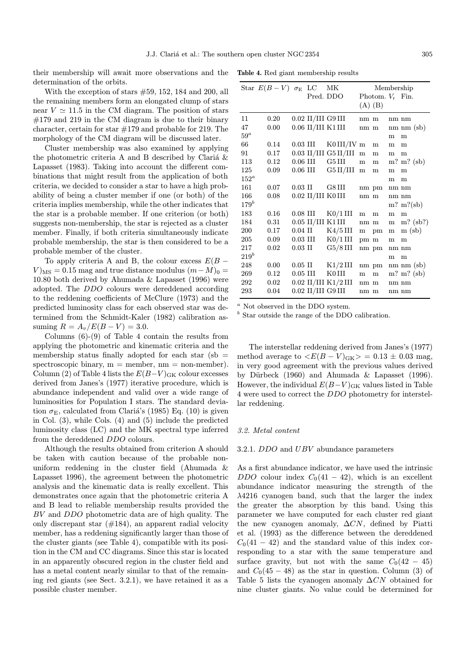their membership will await more observations and the determination of the orbits.

With the exception of stars #59, 152, 184 and 200, all the remaining members form an elongated clump of stars near  $V \simeq 11.5$  in the CM diagram. The position of stars  $\#179$  and 219 in the CM diagram is due to their binary character, certain for star #179 and probable for 219. The morphology of the CM diagram will be discussed later.

Cluster membership was also examined by applying the photometric criteria A and B described by Clariá  $\&$ Lapasset (1983). Taking into account the different combinations that might result from the application of both criteria, we decided to consider a star to have a high probability of being a cluster member if one (or both) of the criteria implies membership, while the other indicates that the star is a probable member. If one criterion (or both) suggests non-membership, the star is rejected as a cluster member. Finally, if both criteria simultaneously indicate probable membership, the star is then considered to be a probable member of the cluster.

To apply criteria A and B, the colour excess  $E(B V$ <sub>MS</sub> = 0.15 mag and true distance modulus  $(m-M)_0 =$ 10.80 both derived by Ahumada & Lapasset (1996) were adopted. The DDO colours were dereddened according to the reddening coefficients of McClure (1973) and the predicted luminosity class for each observed star was determined from the Schmidt-Kaler (1982) calibration assuming  $R = A_v / E(B - V) = 3.0$ .

Columns  $(6)-(9)$  of Table 4 contain the results from applying the photometric and kinematic criteria and the membership status finally adopted for each star  $(sb =$ spectroscopic binary,  $m =$  member,  $nm =$  non-member). Column (2) of Table 4 lists the  $E(B-V)_{\rm GK}$  colour excesses derived from Janes's (1977) iterative procedure, which is abundance independent and valid over a wide range of luminosities for Population I stars. The standard deviation  $\sigma_{\rm E}$ , calculated from Clariá's (1985) Eq. (10) is given in Col. (3), while Cols. (4) and (5) include the predicted luminosity class (LC) and the MK spectral type inferred from the dereddened DDO colours.

Although the results obtained from criterion A should be taken with caution because of the probable nonuniform reddening in the cluster field (Ahumada & Lapasset 1996), the agreement between the photometric analysis and the kinematic data is really excellent. This demonstrates once again that the photometric criteria A and B lead to reliable membership results provided the BV and DDO photometric data are of high quality. The only discrepant star  $(\#184)$ , an apparent radial velocity member, has a reddening significantly larger than those of the cluster giants (see Table 4), compatible with its position in the CM and CC diagrams. Since this star is located in an apparently obscured region in the cluster field and has a metal content nearly similar to that of the remaining red giants (see Sect. 3.2.1), we have retained it as a possible cluster member.

|  |  |  | Table 4. Red giant membership results |  |
|--|--|--|---------------------------------------|--|
|--|--|--|---------------------------------------|--|

|         | Star $E(B-V)$ $\sigma_{\rm E}$ LC |                  |              | МK                      |           |                    |   | Membership                       |
|---------|-----------------------------------|------------------|--------------|-------------------------|-----------|--------------------|---|----------------------------------|
|         |                                   |                  | Pred. DDO    |                         |           | Photom. $V_r$ Fin. |   |                                  |
|         |                                   |                  |              |                         |           | $(A)$ $(B)$        |   |                                  |
| 11      | 0.20                              |                  |              | $0.02$ II/III G9 III    | nm m      |                    |   | nm nm                            |
| 47      | 0.00                              |                  |              | $0.06$ II/III K1 III    | nm m      |                    |   | $nm$ nm $(sb)$                   |
| $59^a$  |                                   |                  |              |                         |           |                    | m | m                                |
| 66      | 0.14                              | $0.03$ III       |              | K0III/IVm               |           | m                  | m | m                                |
| 91      | 0.17                              |                  |              | $0.03$ II/III G5 II/III | m         | m                  | m | m                                |
| 113     | 0.12                              | $0.06$ III       |              | G5 III                  | ${\bf m}$ | m                  |   | $m?$ m? (sb)                     |
| 125     | 0.09                              | $0.06$ III       |              | $G5$ II/III             | ${\bf m}$ | m                  | m | m                                |
| $152^a$ |                                   |                  |              |                         |           |                    | m | m                                |
| 161     | 0.07                              | $0.03$ II        |              | G8 III                  |           | nm pm              |   | nm nm                            |
| 166     | 0.08                              |                  |              | $0.02$ II/III KOIII     | nm m      |                    |   | nm nm                            |
| $179^b$ |                                   |                  |              |                         |           |                    |   | $m?$ m?(sb)                      |
| 183     | 0.16                              | $0.08$ III       |              | $K0/1$ III              | m         | m                  | m | m                                |
| 184     | 0.31                              |                  |              | $0.05$ II/III K1 III    |           | nm m               | m | $m?$ (sb?)                       |
| 200     | 0.17                              |                  | $0.04$ II    | $K4/5$ III              | m         | pm                 | m | $m$ (sb)                         |
| 205     | 0.09                              |                  | $0.03\,$ III | $K0/1$ III              |           | pm m               | m | m                                |
| 217     | 0.02                              | $0.03$ $\rm{II}$ |              | $G5/8$ III              |           | nm pm              |   | nm nm                            |
| $219^b$ |                                   |                  |              |                         |           |                    | m | m                                |
| 248     | 0.00                              |                  | $0.05$ II    | $K1/2$ III              |           | nm pm              |   | $nm \, \text{nm} \, \text{(sb)}$ |
| 269     | 0.12                              | $0.05$ III       |              | K0III                   | m         | m                  |   | $m?$ $m?$ (sb)                   |
| 292     | 0.02                              |                  |              | $0.02$ II/III K1/2 III  | nm m      |                    |   | nm nm                            |
| 293     | 0.04                              |                  |              | $0.02$ II/III G9 III    | nm m      |                    |   | nm nm                            |

<sup>a</sup> Not observed in the DDO system.

 $<sup>b</sup>$  Star outside the range of the DDO calibration.</sup>

The interstellar reddening derived from Janes's (1977) method average to  $\langle E(B-V)_{\rm GK}\rangle = 0.13 \pm 0.03$  mag, in very good agreement with the previous values derived by Dürbeck  $(1960)$  and Ahumada & Lapasset  $(1996)$ . However, the individual  $E(B-V)_{\text{GK}}$  values listed in Table 4 were used to correct the DDO photometry for interstellar reddening.

## 3.2. Metal content

## 3.2.1. DDO and UBV abundance parameters

As a first abundance indicator, we have used the intrinsic DDO colour index  $C_0(41 - 42)$ , which is an excellent abundance indicator measuring the strength of the λ4216 cyanogen band, such that the larger the index the greater the absorption by this band. Using this parameter we have computed for each cluster red giant the new cyanogen anomaly,  $\Delta CN$ , defined by Piatti et al. (1993) as the difference between the dereddened  $C_0(41 - 42)$  and the standard value of this index corresponding to a star with the same temperature and surface gravity, but not with the same  $C_0(42 - 45)$ and  $C_0(45-48)$  as the star in question. Column (3) of Table 5 lists the cyanogen anomaly  $\Delta CN$  obtained for nine cluster giants. No value could be determined for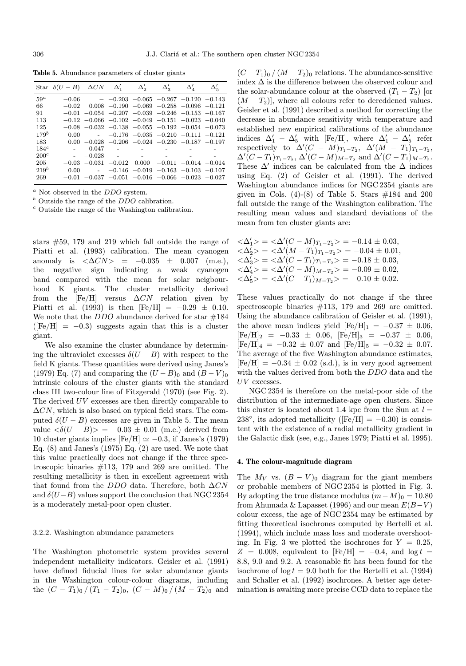Table 5. Abundance parameters of cluster giants

|                  | Star $\delta(U-B)$ $\Delta CN$ $\Delta'_1$ $\Delta'_2$ |          |          |                                     | $\Delta'_2$                                                   |             |             |
|------------------|--------------------------------------------------------|----------|----------|-------------------------------------|---------------------------------------------------------------|-------------|-------------|
|                  |                                                        |          |          |                                     |                                                               | $\Delta_4'$ | $\Delta'_5$ |
| $59^a$           |                                                        |          |          |                                     | $-0.06$ $-0.203$ $-0.065$ $-0.267$ $-0.120$ $-0.143$          |             |             |
| 66               |                                                        |          |          |                                     | $-0.02$ 0.008 $-0.190$ $-0.069$ $-0.258$ $-0.096$ $-0.121$    |             |             |
| 91               |                                                        |          |          |                                     | $-0.01$ $-0.054$ $-0.207$ $-0.039$ $-0.246$ $-0.153$ $-0.167$ |             |             |
| 113              |                                                        |          |          |                                     | $-0.12$ $-0.066$ $-0.102$ $-0.049$ $-0.151$ $-0.023$ $-0.040$ |             |             |
| 125              |                                                        |          |          |                                     | $-0.08$ $-0.032$ $-0.138$ $-0.055$ $-0.192$ $-0.054$ $-0.073$ |             |             |
| $179^{b}$        | 0.00                                                   |          |          |                                     | $ -0.176$ $-0.035$ $-0.210$ $-0.111$ $-0.121$                 |             |             |
| 183              |                                                        |          |          |                                     | $0.00 - 0.028 - 0.206 - 0.024 - 0.230 - 0.187 - 0.197$        |             |             |
| 184 <sup>c</sup> |                                                        | $-0.047$ |          | the second company of the second    |                                                               |             |             |
| $200^c$          |                                                        | $-0.028$ |          | and the contract of the contract of |                                                               |             |             |
| 205              | $-0.03$                                                | $-0.031$ | $-0.012$ |                                     | $0.000$ $-0.011$ $-0.014$ $-0.014$                            |             |             |
| 219 <sup>b</sup> | 0.00                                                   |          |          |                                     | $-0.146$ $-0.019$ $-0.163$ $-0.103$ $-0.107$                  |             |             |
| 269              |                                                        |          |          |                                     | $-0.01$ $-0.037$ $-0.051$ $-0.016$ $-0.066$ $-0.023$ $-0.027$ |             |             |

 $a$  Not observed in the  $DDO$  system.

 $<sup>b</sup>$  Outside the range of the  $DDO$  calibration.</sup>

 $\degree$  Outside the range of the Washington calibration.

stars #59, 179 and 219 which fall outside the range of Piatti et al. (1993) calibration. The mean cyanogen anomaly is  $\langle \Delta CN \rangle = -0.035 \pm 0.007$  (m.e.), the negative sign indicating a weak cyanogen band compared with the mean for solar neigbourhood K giants. The cluster metallicity derived from the  $[Fe/H]$  versus  $\Delta CN$  relation given by Piatti et al. (1993) is then  $[Fe/H] = -0.29 \pm 0.10$ . We note that the  $DDO$  abundance derived for star  $\#184$  $(Fe/H] = -0.3$ ) suggests again that this is a cluster giant.

We also examine the cluster abundance by determining the ultraviolet excesses  $\delta(U - B)$  with respect to the field K giants. These quantities were derived using Janes's (1979) Eq. (7) and comparing the  $(U - B)_0$  and  $(B - V)_0$ intrinsic colours of the cluster giants with the standard class III two-colour line of Fitzgerald (1970) (see Fig. 2). The derived UV excesses are then directly comparable to  $\Delta CN$ , which is also based on typical field stars. The computed  $\delta(U - B)$  excesses are given in Table 5. The mean value  $\langle \delta (U - B) \rangle = -0.03 \pm 0.01$  (m.e.) derived from 10 cluster giants implies  $[Fe/H] \simeq -0.3$ , if Janes's (1979) Eq.  $(8)$  and Janes's  $(1975)$  Eq.  $(2)$  are used. We note that this value practically does not change if the three spectroscopic binaries #113, 179 and 269 are omitted. The resulting metallicity is then in excellent agreement with that found from the DDO data. Therefore, both  $\Delta CN$ and  $\delta(U-B)$  values support the conclusion that NGC 2354 is a moderately metal-poor open cluster.

## 3.2.2. Washington abundance parameters

The Washington photometric system provides several independent metallicity indicators. Geisler et al. (1991) have defined fiducial lines for solar abundance giants in the Washington colour-colour diagrams, including the  $(C - T_1)_0 / (T_1 - T_2)_0$ ,  $(C - M)_0 / (M - T_2)_0$  and

 $(C-T_1)_0/(M-T_2)_0$  relations. The abundance-sensitive index  $\Delta$  is the difference between the observed colour and the solar-abundance colour at the observed  $(T_1 - T_2)$  [or  $(M - T_2)$ , where all colours refer to dereddened values. Geisler et al. (1991) described a method for correcting the decrease in abundance sensitivity with temperature and established new empirical calibrations of the abundance indices  $\Delta_1' - \Delta_5'$  with [Fe/H], where  $\Delta_1' - \Delta_5'$  refer respectively to  $\Delta'(C - M)_{T_1 - T_2}$ ,  $\Delta'(M - T_1)_{T_1 - T_2}$ ,  $\Delta'(C-T_1)_{T_1-T_2}, \, \Delta'(C-M)_{M-T_2} \text{ and } \Delta'(C-T_1)_{M-T_2}.$ These  $\Delta'$  indices can be calculated from the  $\Delta$  indices using Eq. (2) of Geisler et al. (1991). The derived Washington abundance indices for NGC 2354 giants are given in Cols.  $(4)-(8)$  of Table 5. Stars  $\#184$  and 200 fall outside the range of the Washington calibration. The resulting mean values and standard deviations of the mean from ten cluster giants are:

$$
\langle \Delta'_1 \rangle = \langle \Delta'(C - M)_{T_1 - T_2} \rangle = -0.14 \pm 0.03,
$$
  
\n
$$
\langle \Delta'_2 \rangle = \langle \Delta'(M - T_1)_{T_1 - T_2} \rangle = -0.04 \pm 0.01,
$$
  
\n
$$
\langle \Delta'_3 \rangle = \langle \Delta'(C - T_1)_{T_1 - T_2} \rangle = -0.18 \pm 0.03,
$$
  
\n
$$
\langle \Delta'_4 \rangle = \langle \Delta'(C - M)_{M - T_2} \rangle = -0.09 \pm 0.02,
$$
  
\n
$$
\langle \Delta'_5 \rangle = \langle \Delta'(C - T_1)_{M - T_2} \rangle = -0.10 \pm 0.02.
$$

These values practically do not change if the three spectroscopic binaries #113, 179 and 269 are omitted. Using the abundance calibration of Geisler et al. (1991), the above mean indices yield  $[Fe/H]_1 = -0.37 \pm 0.06$ ,  $[Fe/H]_2 = -0.33 \pm 0.06$ ,  $[Fe/H]_3 = -0.37 \pm 0.06$ ,  $[Fe/H]_4 = -0.32 \pm 0.07$  and  $[Fe/H]_5 = -0.32 \pm 0.07$ . The average of the five Washington abundance estimates,  $[Fe/H] = -0.34 \pm 0.02$  (s.d.), is in very good agreement with the values derived from both the DDO data and the UV excesses.

NGC 2354 is therefore on the metal-poor side of the distribution of the intermediate-age open clusters. Since this cluster is located about 1.4 kpc from the Sun at  $l =$ 238 $^{\circ}$ , its adopted metallicity ([Fe/H] = -0.30) is consistent with the existence of a radial metallicity gradient in the Galactic disk (see, e.g., Janes 1979; Piatti et al. 1995).

## 4. The colour-magnitude diagram

The  $M_V$  vs.  $(B - V)_0$  diagram for the giant members or probable members of NGC 2354 is plotted in Fig. 3. By adopting the true distance modulus  $(m-M)_0 = 10.80$ from Ahumada & Lapasset (1996) and our mean  $E(B-V)$ colour excess, the age of NGC 2354 may be estimated by fitting theoretical isochrones computed by Bertelli et al. (1994), which include mass loss and moderate overshooting. In Fig. 3 we plotted the isochrones for  $Y = 0.25$ ,  $Z = 0.008$ , equivalent to [Fe/H] = -0.4, and log t = 8.8, 9.0 and 9.2. A reasonable fit has been found for the isochrone of  $log t = 9.0$  both for the Bertelli et al. (1994) and Schaller et al. (1992) isochrones. A better age determination is awaiting more precise CCD data to replace the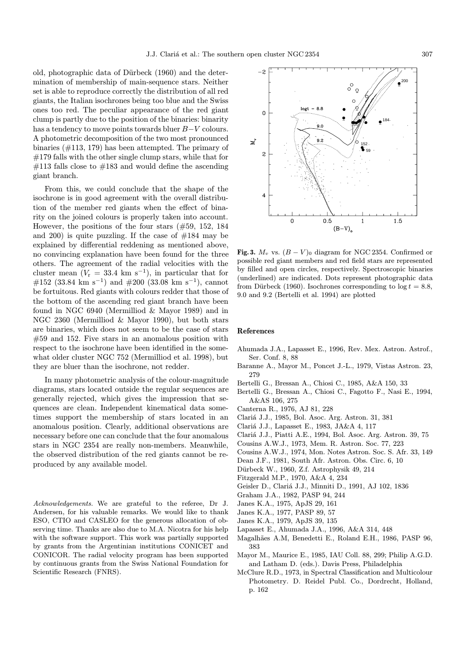old, photographic data of Dürbeck (1960) and the determination of membership of main-sequence stars. Neither set is able to reproduce correctly the distribution of all red giants, the Italian isochrones being too blue and the Swiss ones too red. The peculiar appearance of the red giant clump is partly due to the position of the binaries: binarity has a tendency to move points towards bluer B−V colours. A photometric decomposition of the two most pronounced binaries (#113, 179) has been attempted. The primary of  $#179$  falls with the other single clump stars, while that for  $\#113$  falls close to  $\#183$  and would define the ascending giant branch.

From this, we could conclude that the shape of the isochrone is in good agreement with the overall distribution of the member red giants when the effect of binarity on the joined colours is properly taken into account. However, the positions of the four stars (#59, 152, 184 and 200) is quite puzzling. If the case of  $#184$  may be explained by differential reddening as mentioned above, no convincing explanation have been found for the three others. The agreement of the radial velocities with the cluster mean  $(V_r = 33.4 \text{ km s}^{-1})$ , in particular that for #152 (33.84 km s<sup>-1</sup>) and #200 (33.08 km s<sup>-1</sup>), cannot be fortuitous. Red giants with colours redder that those of the bottom of the ascending red giant branch have been found in NGC 6940 (Mermilliod & Mayor 1989) and in NGC 2360 (Mermilliod & Mayor 1990), but both stars are binaries, which does not seem to be the case of stars #59 and 152. Five stars in an anomalous position with respect to the isochrone have been identified in the somewhat older cluster NGC 752 (Mermilliod et al. 1998), but they are bluer than the isochrone, not redder.

In many photometric analysis of the colour-magnitude diagrams, stars located outside the regular sequences are generally rejected, which gives the impression that sequences are clean. Independent kinematical data sometimes support the membership of stars located in an anomalous position. Clearly, additional observations are necessary before one can conclude that the four anomalous stars in NGC 2354 are really non-members. Meanwhile, the observed distribution of the red giants cannot be reproduced by any available model.

Acknowledgements. We are grateful to the referee, Dr J. Andersen, for his valuable remarks. We would like to thank ESO, CTIO and CASLEO for the generous allocation of observing time. Thanks are also due to M.A. Nicotra for his help with the software support. This work was partially supported by grants from the Argentinian institutions CONICET and CONICOR. The radial velocity program has been supported by continuous grants from the Swiss National Foundation for Scientific Research (FNRS).



Fig. 3.  $M_v$  vs.  $(B - V)_0$  diagram for NGC 2354. Confirmed or possible red giant members and red field stars are represented by filled and open circles, respectively. Spectroscopic binaries (underlined) are indicated. Dots represent photographic data from Dürbeck (1960). Isochrones corresponding to  $log t = 8.8$ , 9.0 and 9.2 (Bertelli et al. 1994) are plotted

## References

- Ahumada J.A., Lapasset E., 1996, Rev. Mex. Astron. Astrof., Ser. Conf. 8, 88
- Baranne A., Mayor M., Poncet J.-L., 1979, Vistas Astron. 23, 279
- Bertelli G., Bressan A., Chiosi C., 1985, A&A 150, 33
- Bertelli G., Bressan A., Chiosi C., Fagotto F., Nasi E., 1994, A&AS 106, 275
- Canterna R., 1976, AJ 81, 228
- Clari´a J.J., 1985, Bol. Asoc. Arg. Astron. 31, 381
- Clariá J.J., Lapasset E., 1983, JA&A 4, 117
- Clari´a J.J., Piatti A.E., 1994, Bol. Asoc. Arg. Astron. 39, 75
- Cousins A.W.J., 1973, Mem. R. Astron. Soc. 77, 223
- Cousins A.W.J., 1974, Mon. Notes Astron. Soc. S. Afr. 33, 149
- Dean J.F., 1981, South Afr. Astron. Obs. Circ. 6, 10
- Dürbeck W., 1960, Z.f. Astrophysik 49, 214
- Fitzgerald M.P., 1970, A&A 4, 234
- Geisler D., Clariá J.J., Minniti D., 1991, AJ 102, 1836
- Graham J.A., 1982, PASP 94, 244
- Janes K.A., 1975, ApJS 29, 161
- Janes K.A., 1977, PASP 89, 57
- Janes K.A., 1979, ApJS 39, 135
- Lapasset E., Ahumada J.A., 1996, A&A 314, 448
- Magalhães A.M, Benedetti E., Roland E.H., 1986, PASP 96, 383
- Mayor M., Maurice E., 1985, IAU Coll. 88, 299; Philip A.G.D. and Latham D. (eds.). Davis Press, Philadelphia
- McClure R.D., 1973, in Spectral Classification and Multicolour Photometry. D. Reidel Publ. Co., Dordrecht, Holland, p. 162